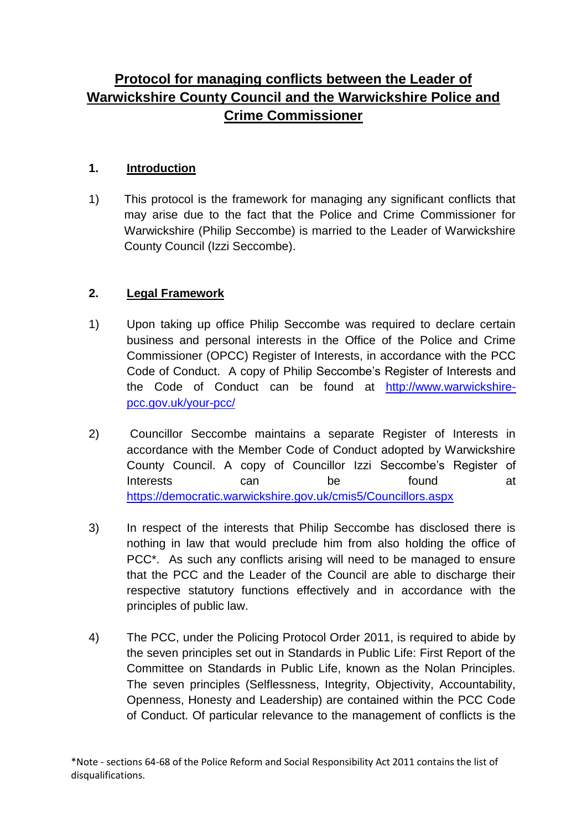# **Protocol for managing conflicts between the Leader of Warwickshire County Council and the Warwickshire Police and Crime Commissioner**

## **1. Introduction**

1) This protocol is the framework for managing any significant conflicts that may arise due to the fact that the Police and Crime Commissioner for Warwickshire (Philip Seccombe) is married to the Leader of Warwickshire County Council (Izzi Seccombe).

# **2. Legal Framework**

- 1) Upon taking up office Philip Seccombe was required to declare certain business and personal interests in the Office of the Police and Crime Commissioner (OPCC) Register of Interests, in accordance with the PCC Code of Conduct. A copy of Philip Seccombe's Register of Interests and the Code of Conduct can be found at [http://www.warwickshire](http://www.warwickshire-pcc.gov.uk/your-pcc/)[pcc.gov.uk/your-pcc/](http://www.warwickshire-pcc.gov.uk/your-pcc/)
- 2) Councillor Seccombe maintains a separate Register of Interests in accordance with the Member Code of Conduct adopted by Warwickshire County Council. A copy of Councillor Izzi Seccombe's Register of Interests can be found at <https://democratic.warwickshire.gov.uk/cmis5/Councillors.aspx>
- 3) In respect of the interests that Philip Seccombe has disclosed there is nothing in law that would preclude him from also holding the office of PCC<sup>\*</sup>. As such any conflicts arising will need to be managed to ensure that the PCC and the Leader of the Council are able to discharge their respective statutory functions effectively and in accordance with the principles of public law.
- 4) The PCC, under the Policing Protocol Order 2011, is required to abide by the seven principles set out in Standards in Public Life: First Report of the Committee on Standards in Public Life, known as the Nolan Principles. The seven principles (Selflessness, Integrity, Objectivity, Accountability, Openness, Honesty and Leadership) are contained within the PCC Code of Conduct. Of particular relevance to the management of conflicts is the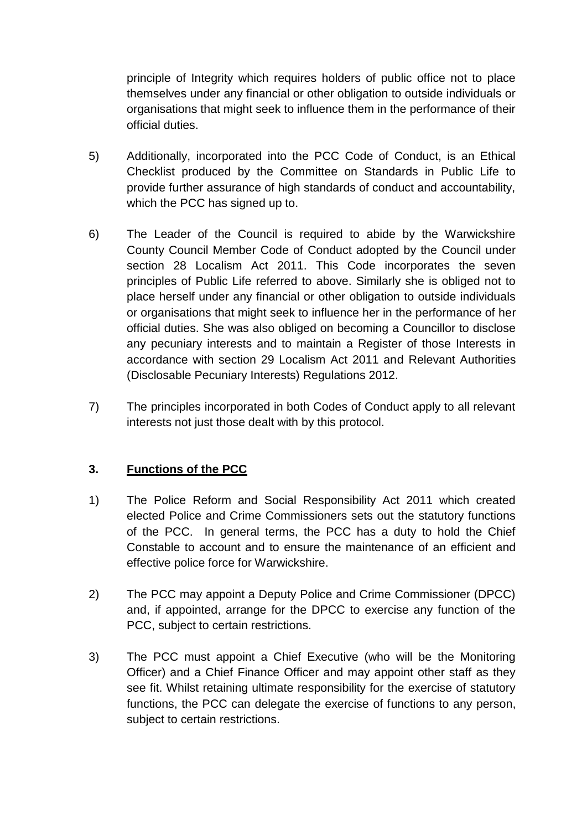principle of Integrity which requires holders of public office not to place themselves under any financial or other obligation to outside individuals or organisations that might seek to influence them in the performance of their official duties.

- 5) Additionally, incorporated into the PCC Code of Conduct, is an Ethical Checklist produced by the Committee on Standards in Public Life to provide further assurance of high standards of conduct and accountability, which the PCC has signed up to.
- 6) The Leader of the Council is required to abide by the Warwickshire County Council Member Code of Conduct adopted by the Council under section 28 Localism Act 2011. This Code incorporates the seven principles of Public Life referred to above. Similarly she is obliged not to place herself under any financial or other obligation to outside individuals or organisations that might seek to influence her in the performance of her official duties. She was also obliged on becoming a Councillor to disclose any pecuniary interests and to maintain a Register of those Interests in accordance with section 29 Localism Act 2011 and Relevant Authorities (Disclosable Pecuniary Interests) Regulations 2012.
- 7) The principles incorporated in both Codes of Conduct apply to all relevant interests not just those dealt with by this protocol.

# **3. Functions of the PCC**

- 1) The Police Reform and Social Responsibility Act 2011 which created elected Police and Crime Commissioners sets out the statutory functions of the PCC. In general terms, the PCC has a duty to hold the Chief Constable to account and to ensure the maintenance of an efficient and effective police force for Warwickshire.
- 2) The PCC may appoint a Deputy Police and Crime Commissioner (DPCC) and, if appointed, arrange for the DPCC to exercise any function of the PCC, subject to certain restrictions.
- 3) The PCC must appoint a Chief Executive (who will be the Monitoring Officer) and a Chief Finance Officer and may appoint other staff as they see fit. Whilst retaining ultimate responsibility for the exercise of statutory functions, the PCC can delegate the exercise of functions to any person, subject to certain restrictions.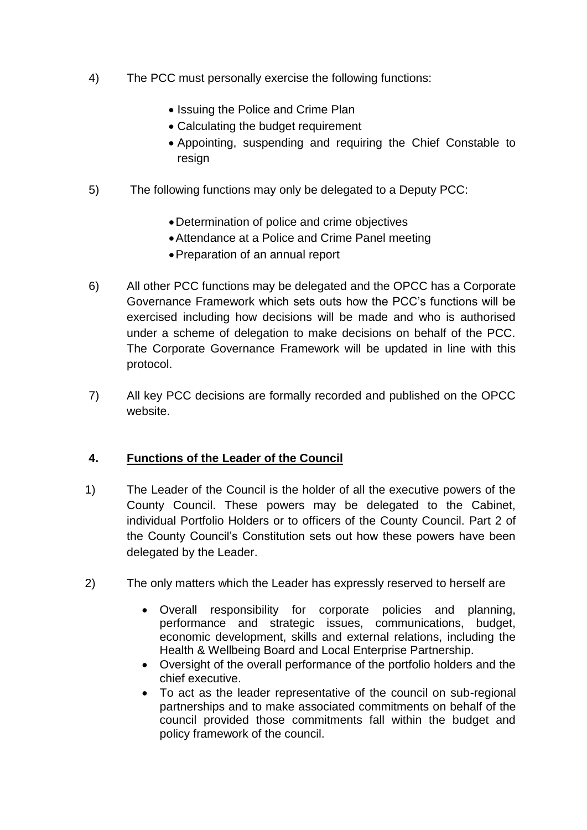- 4) The PCC must personally exercise the following functions:
	- Issuing the Police and Crime Plan
	- Calculating the budget requirement
	- Appointing, suspending and requiring the Chief Constable to resign
- 5) The following functions may only be delegated to a Deputy PCC:
	- Determination of police and crime objectives
	- Attendance at a Police and Crime Panel meeting
	- Preparation of an annual report
- 6) All other PCC functions may be delegated and the OPCC has a Corporate Governance Framework which sets outs how the PCC's functions will be exercised including how decisions will be made and who is authorised under a scheme of delegation to make decisions on behalf of the PCC. The Corporate Governance Framework will be updated in line with this protocol.
- 7) All key PCC decisions are formally recorded and published on the OPCC website.

#### **4. Functions of the Leader of the Council**

- 1) The Leader of the Council is the holder of all the executive powers of the County Council. These powers may be delegated to the Cabinet, individual Portfolio Holders or to officers of the County Council. Part 2 of the County Council's Constitution sets out how these powers have been delegated by the Leader.
- 2) The only matters which the Leader has expressly reserved to herself are
	- Overall responsibility for corporate policies and planning, performance and strategic issues, communications, budget, economic development, skills and external relations, including the Health & Wellbeing Board and Local Enterprise Partnership.
	- Oversight of the overall performance of the portfolio holders and the chief executive.
	- To act as the leader representative of the council on sub-regional partnerships and to make associated commitments on behalf of the council provided those commitments fall within the budget and policy framework of the council.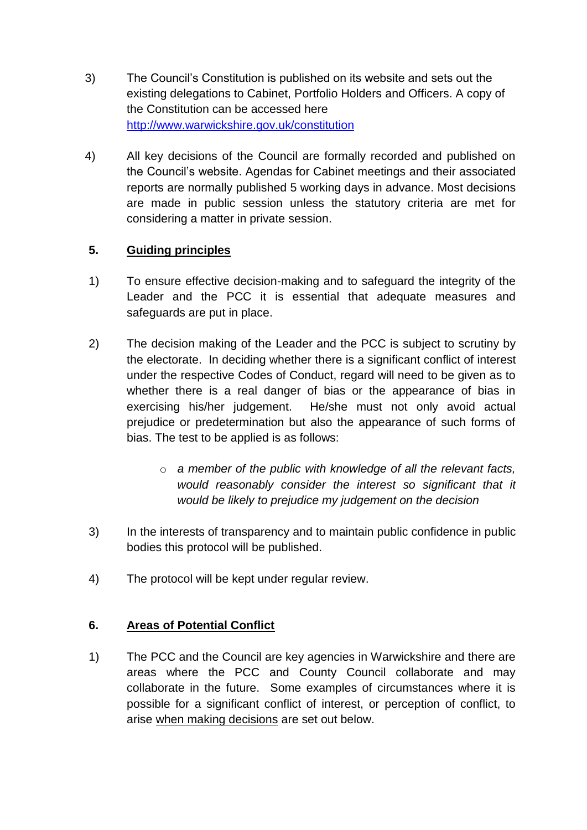- 3) The Council's Constitution is published on its website and sets out the existing delegations to Cabinet, Portfolio Holders and Officers. A copy of the Constitution can be accessed here <http://www.warwickshire.gov.uk/constitution>
- 4) All key decisions of the Council are formally recorded and published on the Council's website. Agendas for Cabinet meetings and their associated reports are normally published 5 working days in advance. Most decisions are made in public session unless the statutory criteria are met for considering a matter in private session.

## **5. Guiding principles**

- 1) To ensure effective decision-making and to safeguard the integrity of the Leader and the PCC it is essential that adequate measures and safeguards are put in place.
- 2) The decision making of the Leader and the PCC is subject to scrutiny by the electorate. In deciding whether there is a significant conflict of interest under the respective Codes of Conduct, regard will need to be given as to whether there is a real danger of bias or the appearance of bias in exercising his/her judgement. He/she must not only avoid actual prejudice or predetermination but also the appearance of such forms of bias. The test to be applied is as follows:
	- o *a member of the public with knowledge of all the relevant facts, would reasonably consider the interest so significant that it would be likely to prejudice my judgement on the decision*
- 3) In the interests of transparency and to maintain public confidence in public bodies this protocol will be published.
- 4) The protocol will be kept under regular review.

#### **6. Areas of Potential Conflict**

1) The PCC and the Council are key agencies in Warwickshire and there are areas where the PCC and County Council collaborate and may collaborate in the future. Some examples of circumstances where it is possible for a significant conflict of interest, or perception of conflict, to arise when making decisions are set out below.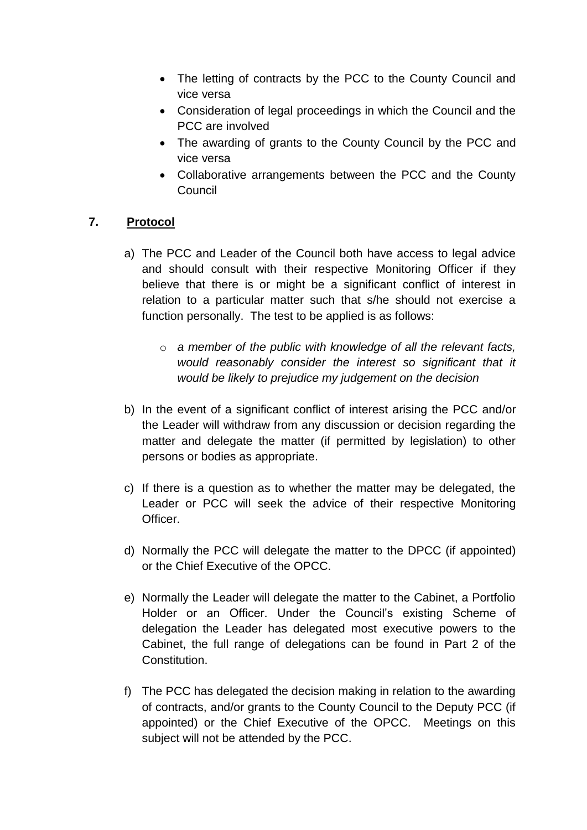- The letting of contracts by the PCC to the County Council and vice versa
- Consideration of legal proceedings in which the Council and the PCC are involved
- The awarding of grants to the County Council by the PCC and vice versa
- Collaborative arrangements between the PCC and the County Council

## **7. Protocol**

- a) The PCC and Leader of the Council both have access to legal advice and should consult with their respective Monitoring Officer if they believe that there is or might be a significant conflict of interest in relation to a particular matter such that s/he should not exercise a function personally. The test to be applied is as follows:
	- o *a member of the public with knowledge of all the relevant facts, would reasonably consider the interest so significant that it would be likely to prejudice my judgement on the decision*
- b) In the event of a significant conflict of interest arising the PCC and/or the Leader will withdraw from any discussion or decision regarding the matter and delegate the matter (if permitted by legislation) to other persons or bodies as appropriate.
- c) If there is a question as to whether the matter may be delegated, the Leader or PCC will seek the advice of their respective Monitoring Officer.
- d) Normally the PCC will delegate the matter to the DPCC (if appointed) or the Chief Executive of the OPCC.
- e) Normally the Leader will delegate the matter to the Cabinet, a Portfolio Holder or an Officer. Under the Council's existing Scheme of delegation the Leader has delegated most executive powers to the Cabinet, the full range of delegations can be found in Part 2 of the Constitution.
- f) The PCC has delegated the decision making in relation to the awarding of contracts, and/or grants to the County Council to the Deputy PCC (if appointed) or the Chief Executive of the OPCC. Meetings on this subject will not be attended by the PCC.